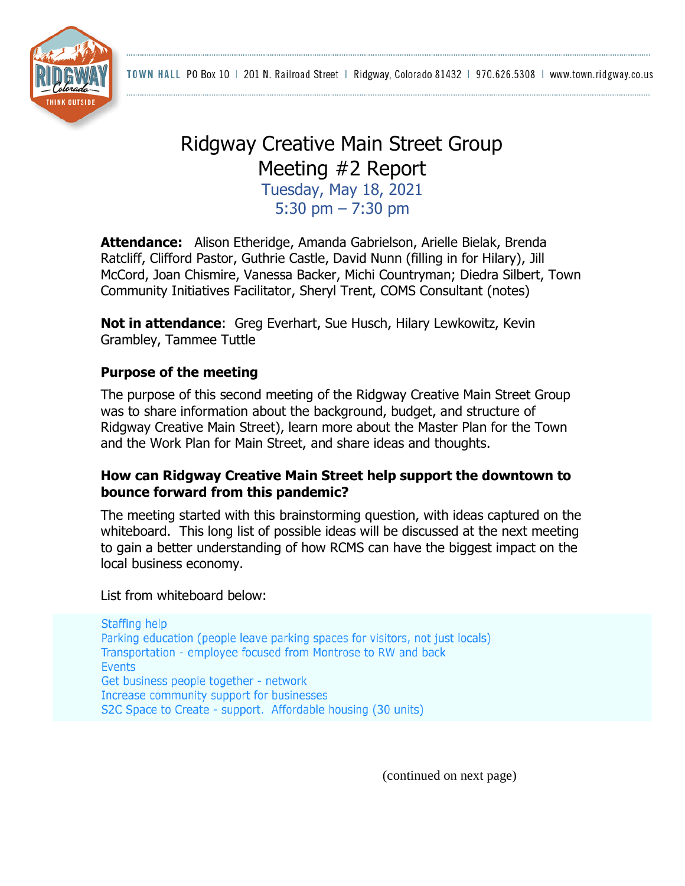TOWN HALL PO Box 10 | 201 N. Railroad Street | Ridgway, Colorado 81432 | 970.626.5308 | www.town.ridgway.co.us



# Ridgway Creative Main Street Group Meeting #2 Report

Tuesday, May 18, 2021 5:30 pm – 7:30 pm

**Attendance:** Alison Etheridge, Amanda Gabrielson, Arielle Bielak, Brenda Ratcliff, Clifford Pastor, Guthrie Castle, David Nunn (filling in for Hilary), Jill McCord, Joan Chismire, Vanessa Backer, Michi Countryman; Diedra Silbert, Town Community Initiatives Facilitator, Sheryl Trent, COMS Consultant (notes)

**Not in attendance**: Greg Everhart, Sue Husch, Hilary Lewkowitz, Kevin Grambley, Tammee Tuttle

### **Purpose of the meeting**

The purpose of this second meeting of the Ridgway Creative Main Street Group was to share information about the background, budget, and structure of Ridgway Creative Main Street), learn more about the Master Plan for the Town and the Work Plan for Main Street, and share ideas and thoughts.

### **How can Ridgway Creative Main Street help support the downtown to bounce forward from this pandemic?**

The meeting started with this brainstorming question, with ideas captured on the whiteboard. This long list of possible ideas will be discussed at the next meeting to gain a better understanding of how RCMS can have the biggest impact on the local business economy.

List from whiteboard below:

Staffing help Parking education (people leave parking spaces for visitors, not just locals) Transportation - employee focused from Montrose to RW and back **Events** Get business people together - network Increase community support for businesses S2C Space to Create - support. Affordable housing (30 units)

(continued on next page)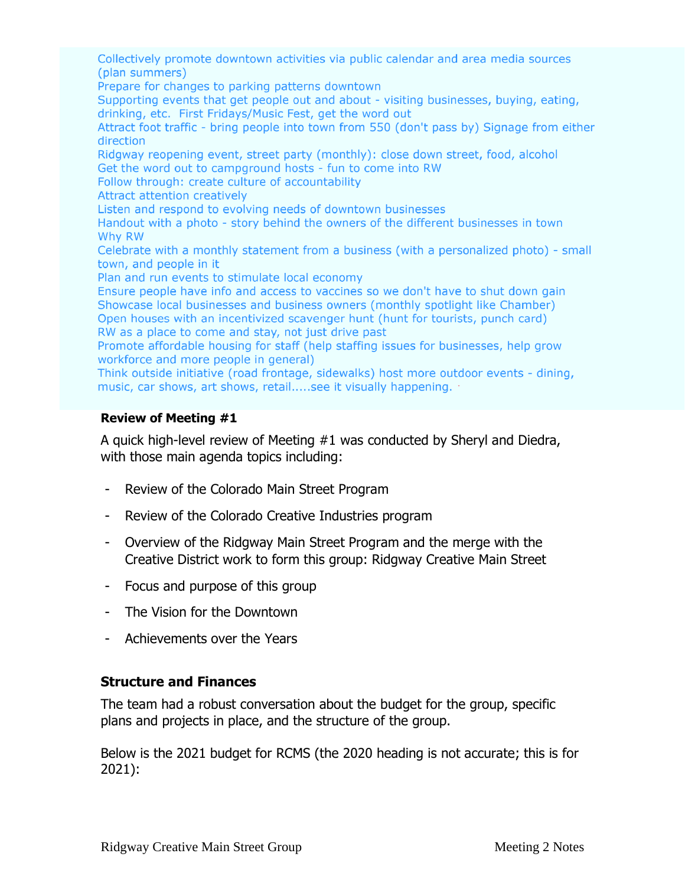Collectively promote downtown activities via public calendar and area media sources (plan summers)

Prepare for changes to parking patterns downtown

Supporting events that get people out and about - visiting businesses, buying, eating, drinking, etc. First Fridays/Music Fest, get the word out

Attract foot traffic - bring people into town from 550 (don't pass by) Signage from either direction

Ridgway reopening event, street party (monthly): close down street, food, alcohol Get the word out to campground hosts - fun to come into RW

Follow through: create culture of accountability

**Attract attention creatively** 

Listen and respond to evolving needs of downtown businesses

Handout with a photo - story behind the owners of the different businesses in town Why RW

Celebrate with a monthly statement from a business (with a personalized photo) - small town, and people in it

Plan and run events to stimulate local economy

Ensure people have info and access to vaccines so we don't have to shut down gain Showcase local businesses and business owners (monthly spotlight like Chamber) Open houses with an incentivized scavenger hunt (hunt for tourists, punch card) RW as a place to come and stay, not just drive past

Promote affordable housing for staff (help staffing issues for businesses, help grow workforce and more people in general)

Think outside initiative (road frontage, sidewalks) host more outdoor events - dining, music, car shows, art shows, retail.....see it visually happening.

#### **Review of Meeting #1**

A quick high-level review of Meeting #1 was conducted by Sheryl and Diedra, with those main agenda topics including:

- Review of the Colorado Main Street Program
- Review of the Colorado Creative Industries program
- Overview of the Ridgway Main Street Program and the merge with the Creative District work to form this group: Ridgway Creative Main Street
- Focus and purpose of this group
- The Vision for the Downtown
- Achievements over the Years

### **Structure and Finances**

The team had a robust conversation about the budget for the group, specific plans and projects in place, and the structure of the group.

Below is the 2021 budget for RCMS (the 2020 heading is not accurate; this is for 2021):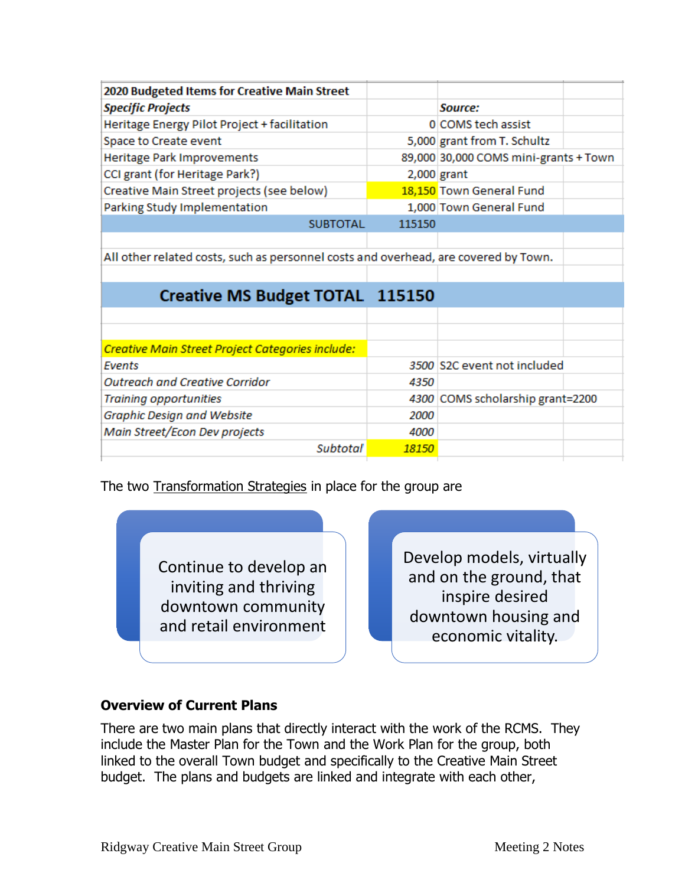| 2020 Budgeted Items for Creative Main Street                                        |        |                                       |
|-------------------------------------------------------------------------------------|--------|---------------------------------------|
| <b>Specific Projects</b>                                                            |        | Source:                               |
| Heritage Energy Pilot Project + facilitation                                        |        | 0 COMS tech assist                    |
| Space to Create event                                                               |        | 5,000 grant from T. Schultz           |
| Heritage Park Improvements                                                          |        | 89,000 30,000 COMS mini-grants + Town |
| CCI grant (for Heritage Park?)                                                      |        | $2,000$ grant                         |
| Creative Main Street projects (see below)                                           |        | 18,150 Town General Fund              |
| Parking Study Implementation                                                        |        | 1,000 Town General Fund               |
| <b>SUBTOTAL</b>                                                                     | 115150 |                                       |
|                                                                                     |        |                                       |
| All other related costs, such as personnel costs and overhead, are covered by Town. |        |                                       |
|                                                                                     |        |                                       |
| <b>Creative MS Budget TOTAL 115150</b>                                              |        |                                       |
|                                                                                     |        |                                       |
|                                                                                     |        |                                       |
| Creative Main Street Project Categories include:                                    |        |                                       |
| <b>Fvents</b>                                                                       |        | 3500 S2C event not included           |
| <b>Outreach and Creative Corridor</b>                                               |        |                                       |
|                                                                                     | 4350   |                                       |
| Training opportunities                                                              |        | 4300 COMS scholarship grant=2200      |
| Graphic Design and Website                                                          | 2000   |                                       |
| Main Street/Econ Dev projects                                                       | 4000   |                                       |
| <b>Subtotal</b>                                                                     | 18150  |                                       |

The two Transformation Strategies in place for the group are

Continue to develop an inviting and thriving downtown community and retail environment

Develop models, virtually and on the ground, that inspire desired downtown housing and economic vitality.

## **Overview of Current Plans**

There are two main plans that directly interact with the work of the RCMS. They include the Master Plan for the Town and the Work Plan for the group, both linked to the overall Town budget and specifically to the Creative Main Street budget. The plans and budgets are linked and integrate with each other,